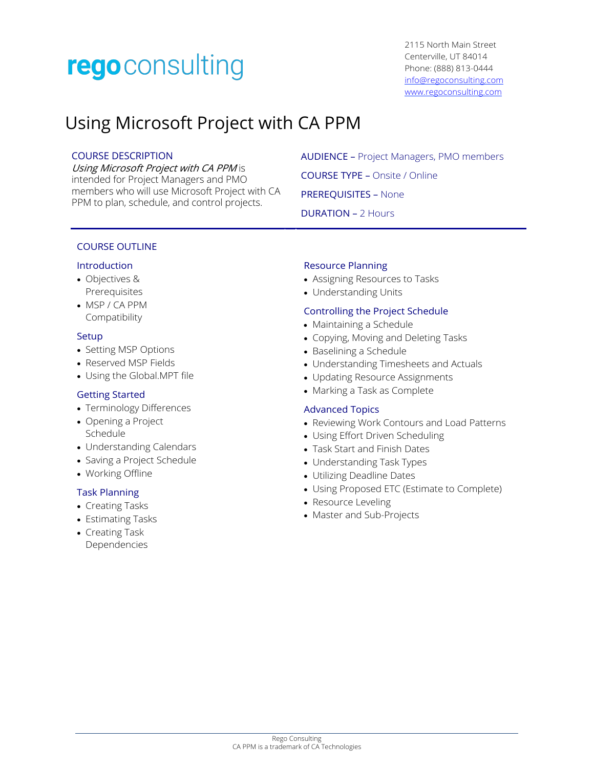# rego consulting

# Using Microsoft Project with CA PPM

#### COURSE DESCRIPTION

Using Microsoft Project with CA PPM is intended for Project Managers and PMO members who will use Microsoft Project with CA PPM to plan, schedule, and control projects.

AUDIENCE – Project Managers, PMO members COURSE TYPE – Onsite / Online PREREQUISITES – None DURATION – 2 Hours

# COURSE OUTLINE

# Introduction

- Objectives & Prerequisites
- MSP / CA PPM Compatibility

#### **Setup**

- Setting MSP Options
- Reserved MSP Fields
- Using the Global.MPT file

# Getting Started

- Terminology Differences
- Opening a Project Schedule
- Understanding Calendars
- Saving a Project Schedule
- Working Offline

# Task Planning

- Creating Tasks
- Estimating Tasks
- Creating Task Dependencies

# Resource Planning

- Assigning Resources to Tasks
- Understanding Units

# Controlling the Project Schedule

- Maintaining a Schedule
- Copying, Moving and Deleting Tasks
- Baselining a Schedule
- Understanding Timesheets and Actuals
- Updating Resource Assignments
- Marking a Task as Complete

# Advanced Topics

- Reviewing Work Contours and Load Patterns
- Using Effort Driven Scheduling
- Task Start and Finish Dates
- Understanding Task Types
- Utilizing Deadline Dates
- Using Proposed ETC (Estimate to Complete)
- Resource Leveling
- Master and Sub-Projects